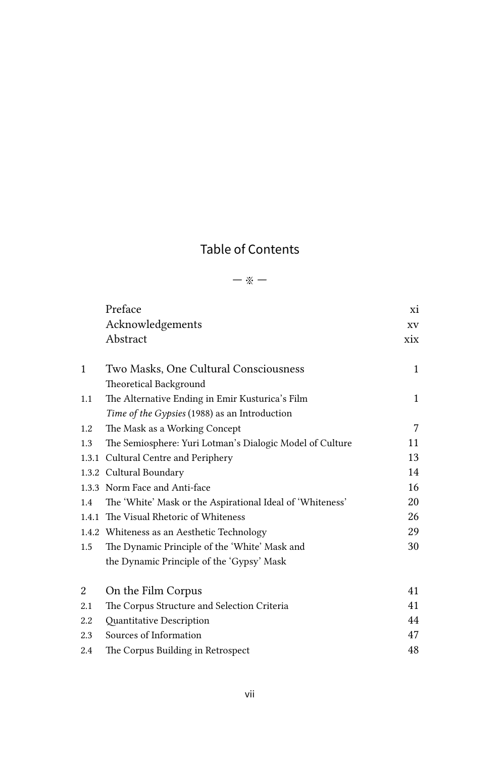## Table of Contents

 $\dot{\mathbf{x}}$   $-$ 

|              | Preface                                                   | хi           |
|--------------|-----------------------------------------------------------|--------------|
|              | Acknowledgements                                          | XV           |
|              | Abstract                                                  | xix          |
|              |                                                           |              |
| $\mathbf{1}$ | Two Masks, One Cultural Consciousness                     | $\mathbf{1}$ |
|              | Theoretical Background                                    |              |
| 1.1          | The Alternative Ending in Emir Kusturica's Film           | $\mathbf{1}$ |
|              | Time of the Gypsies (1988) as an Introduction             |              |
| 1.2          | The Mask as a Working Concept                             | 7            |
| 1.3          | The Semiosphere: Yuri Lotman's Dialogic Model of Culture  | 11           |
|              | 1.3.1 Cultural Centre and Periphery                       | 13           |
|              | 1.3.2 Cultural Boundary                                   | 14           |
|              | 1.3.3 Norm Face and Anti-face                             | 16           |
| 1.4          | The 'White' Mask or the Aspirational Ideal of 'Whiteness' | 20           |
|              | 1.4.1 The Visual Rhetoric of Whiteness                    | 26           |
|              | 1.4.2 Whiteness as an Aesthetic Technology                | 29           |
| $1.5\,$      | The Dynamic Principle of the 'White' Mask and             | 30           |
|              | the Dynamic Principle of the 'Gypsy' Mask                 |              |
| 2            | On the Film Corpus                                        | 41           |
| 2.1          | The Corpus Structure and Selection Criteria               | 41           |
| 2.2          | Quantitative Description                                  | 44           |
| 2.3          | Sources of Information                                    | 47           |
| 2.4          | The Corpus Building in Retrospect                         | 48           |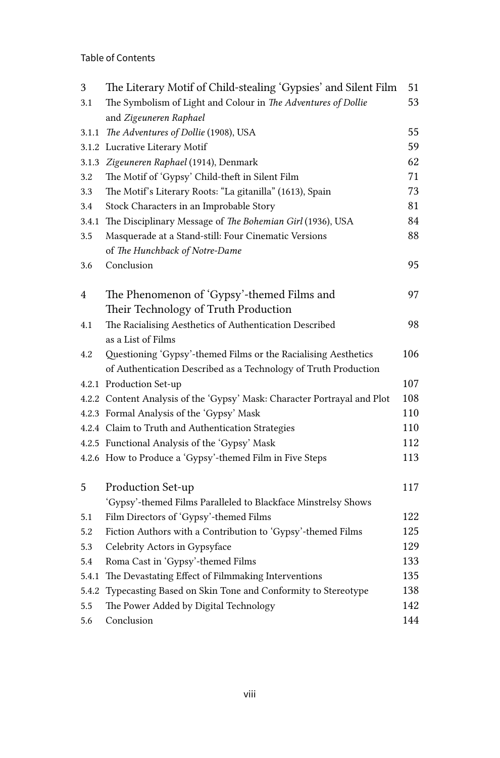Table of Contents

| 3     | The Literary Motif of Child-stealing 'Gypsies' and Silent Film           | 51  |
|-------|--------------------------------------------------------------------------|-----|
| 3.1   | The Symbolism of Light and Colour in The Adventures of Dollie            | 53  |
|       | and Zigeuneren Raphael                                                   |     |
| 3.1.1 | The Adventures of Dollie (1908), USA                                     | 55  |
|       | 3.1.2 Lucrative Literary Motif                                           | 59  |
| 3.1.3 | Zigeuneren Raphael (1914), Denmark                                       | 62  |
| 3.2   | The Motif of 'Gypsy' Child-theft in Silent Film                          | 71  |
| 3.3   | The Motif's Literary Roots: "La gitanilla" (1613), Spain                 | 73  |
| 3.4   | Stock Characters in an Improbable Story                                  | 81  |
| 3.4.1 | The Disciplinary Message of The Bohemian Girl (1936), USA                | 84  |
| 3.5   | Masquerade at a Stand-still: Four Cinematic Versions                     | 88  |
|       | of The Hunchback of Notre-Dame                                           |     |
| 3.6   | Conclusion                                                               | 95  |
|       |                                                                          |     |
| 4     | The Phenomenon of 'Gypsy'-themed Films and                               | 97  |
|       | Their Technology of Truth Production                                     |     |
| 4.1   | The Racialising Aesthetics of Authentication Described                   | 98  |
|       | as a List of Films                                                       |     |
| 4.2   | Questioning 'Gypsy'-themed Films or the Racialising Aesthetics           | 106 |
|       | of Authentication Described as a Technology of Truth Production          |     |
|       | 4.2.1 Production Set-up                                                  | 107 |
|       | 4.2.2 Content Analysis of the 'Gypsy' Mask: Character Portrayal and Plot | 108 |
|       | 4.2.3 Formal Analysis of the 'Gypsy' Mask                                | 110 |
|       | 4.2.4 Claim to Truth and Authentication Strategies                       | 110 |
|       | 4.2.5 Functional Analysis of the 'Gypsy' Mask                            | 112 |
|       | 4.2.6 How to Produce a 'Gypsy'-themed Film in Five Steps                 | 113 |
| 5     | Production Set-up                                                        | 117 |
|       | 'Gypsy'-themed Films Paralleled to Blackface Minstrelsy Shows            |     |
| 5.1   | Film Directors of 'Gypsy'-themed Films                                   | 122 |
| 5.2   | Fiction Authors with a Contribution to 'Gypsy'-themed Films              | 125 |
| 5.3   | Celebrity Actors in Gypsyface                                            | 129 |
| 5.4   | Roma Cast in 'Gypsy'-themed Films                                        | 133 |
| 5.4.1 | The Devastating Effect of Filmmaking Interventions                       | 135 |
| 5.4.2 | Typecasting Based on Skin Tone and Conformity to Stereotype              | 138 |
| 5.5   | The Power Added by Digital Technology                                    | 142 |
| 5.6   | Conclusion                                                               | 144 |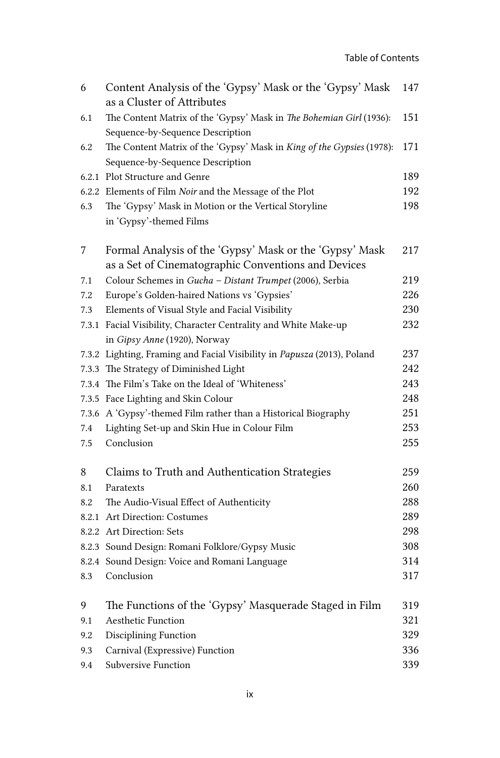| 6     | Content Analysis of the 'Gypsy' Mask or the 'Gypsy' Mask<br>as a Cluster of Attributes                  | 147        |
|-------|---------------------------------------------------------------------------------------------------------|------------|
| 6.1   | The Content Matrix of the 'Gypsy' Mask in The Bohemian Girl (1936):<br>Sequence-by-Sequence Description | 151        |
| 6.2   | The Content Matrix of the 'Gypsy' Mask in King of the Gypsies (1978):                                   | 171        |
|       | Sequence-by-Sequence Description                                                                        |            |
| 6.2.1 | Plot Structure and Genre                                                                                | 189        |
|       | 6.2.2 Elements of Film Noir and the Message of the Plot                                                 | 192        |
| 6.3   | The 'Gypsy' Mask in Motion or the Vertical Storyline                                                    | 198        |
|       | in 'Gypsy'-themed Films                                                                                 |            |
| 7     | Formal Analysis of the 'Gypsy' Mask or the 'Gypsy' Mask                                                 | 217        |
|       | as a Set of Cinematographic Conventions and Devices                                                     |            |
| 7.1   | Colour Schemes in Gucha - Distant Trumpet (2006), Serbia                                                | 219        |
| 7.2   | Europe's Golden-haired Nations vs 'Gypsies'                                                             | 226        |
| 7.3   | Elements of Visual Style and Facial Visibility                                                          | 230        |
|       | 7.3.1 Facial Visibility, Character Centrality and White Make-up                                         | 232        |
|       | in Gipsy Anne (1920), Norway                                                                            |            |
|       | 7.3.2 Lighting, Framing and Facial Visibility in Papusza (2013), Poland                                 | 237        |
|       | 7.3.3 The Strategy of Diminished Light                                                                  | 242        |
|       | 7.3.4 The Film's Take on the Ideal of 'Whiteness'                                                       | 243        |
|       | 7.3.5 Face Lighting and Skin Colour                                                                     | 248        |
|       | 7.3.6 A 'Gypsy'-themed Film rather than a Historical Biography                                          | 251        |
| 7.4   | Lighting Set-up and Skin Hue in Colour Film                                                             | 253<br>255 |
| 7.5   | Conclusion                                                                                              |            |
| 8     | Claims to Truth and Authentication Strategies                                                           | 259        |
| 8.1   | Paratexts                                                                                               | 260        |
| 8.2   | The Audio-Visual Effect of Authenticity                                                                 | 288        |
|       | 8.2.1 Art Direction: Costumes                                                                           | 289        |
|       | 8.2.2 Art Direction: Sets                                                                               | 298        |
|       | 8.2.3 Sound Design: Romani Folklore/Gypsy Music                                                         | 308        |
|       | 8.2.4 Sound Design: Voice and Romani Language                                                           | 314        |
| 8.3   | Conclusion                                                                                              | 317        |
| 9     | The Functions of the 'Gypsy' Masquerade Staged in Film                                                  | 319        |
| 9.1   | Aesthetic Function                                                                                      | 321        |
| 9.2   | Disciplining Function                                                                                   | 329        |
| 9.3   | Carnival (Expressive) Function                                                                          | 336        |
| 9.4   | Subversive Function                                                                                     | 339        |